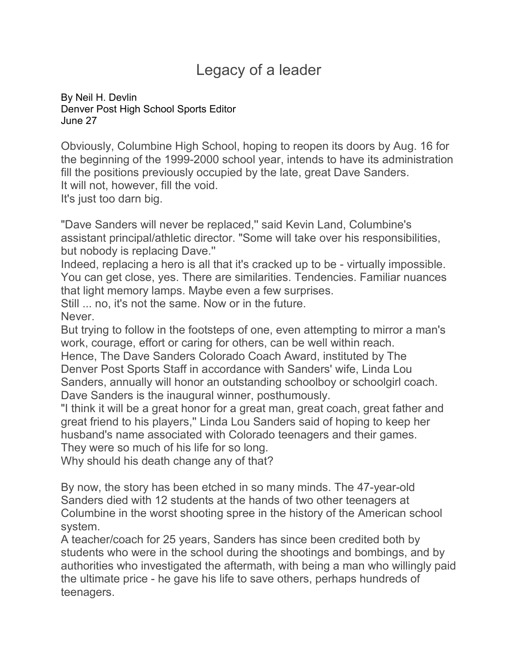## Legacy of a leader

By [Neil H. Devlin](mailto:sports@denverpost.com) Denver Post High School Sports Editor June 27

Obviously, Columbine High School, hoping to reopen its doors by Aug. 16 for the beginning of the 1999-2000 school year, intends to have its administration fill the positions previously occupied by the late, great Dave Sanders. It will not, however, fill the void.

It's just too darn big.

"Dave Sanders will never be replaced,'' said Kevin Land, Columbine's assistant principal/athletic director. "Some will take over his responsibilities, but nobody is replacing Dave.''

Indeed, replacing a hero is all that it's cracked up to be - virtually impossible. You can get close, yes. There are similarities. Tendencies. Familiar nuances that light memory lamps. Maybe even a few surprises.

Still ... no, it's not the same. Now or in the future.

Never.

But trying to follow in the footsteps of one, even attempting to mirror a man's work, courage, effort or caring for others, can be well within reach.

Hence, The Dave Sanders Colorado Coach Award, instituted by The Denver Post Sports Staff in accordance with Sanders' wife, Linda Lou Sanders, annually will honor an outstanding schoolboy or schoolgirl coach. Dave Sanders is the inaugural winner, posthumously.

"I think it will be a great honor for a great man, great coach, great father and great friend to his players,'' Linda Lou Sanders said of hoping to keep her husband's name associated with Colorado teenagers and their games. They were so much of his life for so long.

Why should his death change any of that?

By now, the story has been etched in so many minds. The 47-year-old Sanders died with 12 students at the hands of two other teenagers at Columbine in the worst shooting spree in the history of the American school system.

A teacher/coach for 25 years, Sanders has since been credited both by students who were in the school during the shootings and bombings, and by authorities who investigated the aftermath, with being a man who willingly paid the ultimate price - he gave his life to save others, perhaps hundreds of teenagers.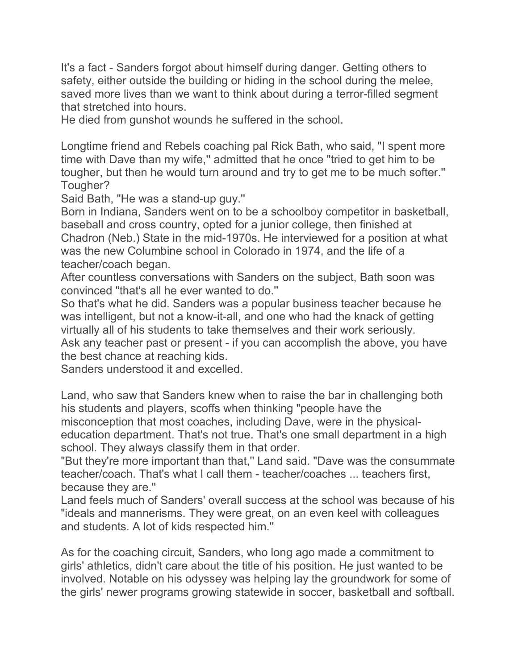It's a fact - Sanders forgot about himself during danger. Getting others to safety, either outside the building or hiding in the school during the melee, saved more lives than we want to think about during a terror-filled segment that stretched into hours.

He died from gunshot wounds he suffered in the school.

Longtime friend and Rebels coaching pal Rick Bath, who said, "I spent more time with Dave than my wife," admitted that he once "tried to get him to be tougher, but then he would turn around and try to get me to be much softer.'' Tougher?

Said Bath, "He was a stand-up guy.''

Born in Indiana, Sanders went on to be a schoolboy competitor in basketball, baseball and cross country, opted for a junior college, then finished at Chadron (Neb.) State in the mid-1970s. He interviewed for a position at what was the new Columbine school in Colorado in 1974, and the life of a teacher/coach began.

After countless conversations with Sanders on the subject, Bath soon was convinced "that's all he ever wanted to do.''

So that's what he did. Sanders was a popular business teacher because he was intelligent, but not a know-it-all, and one who had the knack of getting virtually all of his students to take themselves and their work seriously. Ask any teacher past or present - if you can accomplish the above, you have

the best chance at reaching kids.

Sanders understood it and excelled.

Land, who saw that Sanders knew when to raise the bar in challenging both his students and players, scoffs when thinking "people have the misconception that most coaches, including Dave, were in the physicaleducation department. That's not true. That's one small department in a high school. They always classify them in that order.

"But they're more important than that,'' Land said. "Dave was the consummate teacher/coach. That's what I call them - teacher/coaches ... teachers first, because they are.''

Land feels much of Sanders' overall success at the school was because of his "ideals and mannerisms. They were great, on an even keel with colleagues and students. A lot of kids respected him.''

As for the coaching circuit, Sanders, who long ago made a commitment to girls' athletics, didn't care about the title of his position. He just wanted to be involved. Notable on his odyssey was helping lay the groundwork for some of the girls' newer programs growing statewide in soccer, basketball and softball.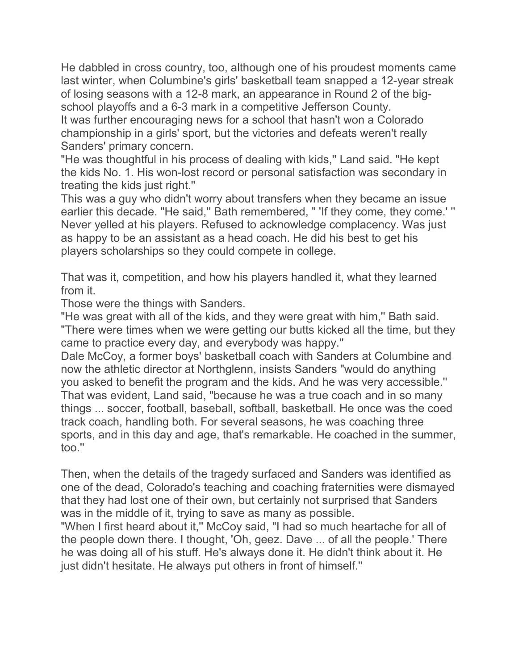He dabbled in cross country, too, although one of his proudest moments came last winter, when Columbine's girls' basketball team snapped a 12-year streak of losing seasons with a 12-8 mark, an appearance in Round 2 of the bigschool playoffs and a 6-3 mark in a competitive Jefferson County. It was further encouraging news for a school that hasn't won a Colorado championship in a girls' sport, but the victories and defeats weren't really Sanders' primary concern.

"He was thoughtful in his process of dealing with kids,'' Land said. "He kept the kids No. 1. His won-lost record or personal satisfaction was secondary in treating the kids just right.''

This was a guy who didn't worry about transfers when they became an issue earlier this decade. "He said," Bath remembered, " 'If they come, they come.' " Never yelled at his players. Refused to acknowledge complacency. Was just as happy to be an assistant as a head coach. He did his best to get his players scholarships so they could compete in college.

That was it, competition, and how his players handled it, what they learned from it.

Those were the things with Sanders.

"He was great with all of the kids, and they were great with him,'' Bath said. "There were times when we were getting our butts kicked all the time, but they came to practice every day, and everybody was happy.''

Dale McCoy, a former boys' basketball coach with Sanders at Columbine and now the athletic director at Northglenn, insists Sanders "would do anything you asked to benefit the program and the kids. And he was very accessible.'' That was evident, Land said, "because he was a true coach and in so many things ... soccer, football, baseball, softball, basketball. He once was the coed track coach, handling both. For several seasons, he was coaching three sports, and in this day and age, that's remarkable. He coached in the summer, too.''

Then, when the details of the tragedy surfaced and Sanders was identified as one of the dead, Colorado's teaching and coaching fraternities were dismayed that they had lost one of their own, but certainly not surprised that Sanders was in the middle of it, trying to save as many as possible.

"When I first heard about it," McCoy said, "I had so much heartache for all of the people down there. I thought, 'Oh, geez. Dave ... of all the people.' There he was doing all of his stuff. He's always done it. He didn't think about it. He just didn't hesitate. He always put others in front of himself."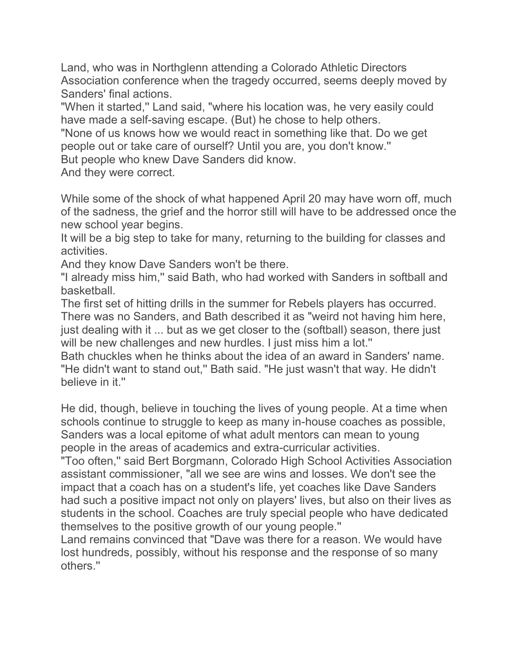Land, who was in Northglenn attending a Colorado Athletic Directors Association conference when the tragedy occurred, seems deeply moved by Sanders' final actions.

"When it started,'' Land said, "where his location was, he very easily could have made a self-saving escape. (But) he chose to help others.

"None of us knows how we would react in something like that. Do we get people out or take care of ourself? Until you are, you don't know.''

But people who knew Dave Sanders did know.

And they were correct.

While some of the shock of what happened April 20 may have worn off, much of the sadness, the grief and the horror still will have to be addressed once the new school year begins.

It will be a big step to take for many, returning to the building for classes and activities.

And they know Dave Sanders won't be there.

"I already miss him,'' said Bath, who had worked with Sanders in softball and basketball.

The first set of hitting drills in the summer for Rebels players has occurred. There was no Sanders, and Bath described it as "weird not having him here, just dealing with it ... but as we get closer to the (softball) season, there just will be new challenges and new hurdles. I just miss him a lot."

Bath chuckles when he thinks about the idea of an award in Sanders' name. "He didn't want to stand out," Bath said. "He just wasn't that way. He didn't believe in it.''

He did, though, believe in touching the lives of young people. At a time when schools continue to struggle to keep as many in-house coaches as possible, Sanders was a local epitome of what adult mentors can mean to young people in the areas of academics and extra-curricular activities.

"Too often,'' said Bert Borgmann, Colorado High School Activities Association assistant commissioner, "all we see are wins and losses. We don't see the impact that a coach has on a student's life, yet coaches like Dave Sanders had such a positive impact not only on players' lives, but also on their lives as students in the school. Coaches are truly special people who have dedicated themselves to the positive growth of our young people.''

Land remains convinced that "Dave was there for a reason. We would have lost hundreds, possibly, without his response and the response of so many others.''